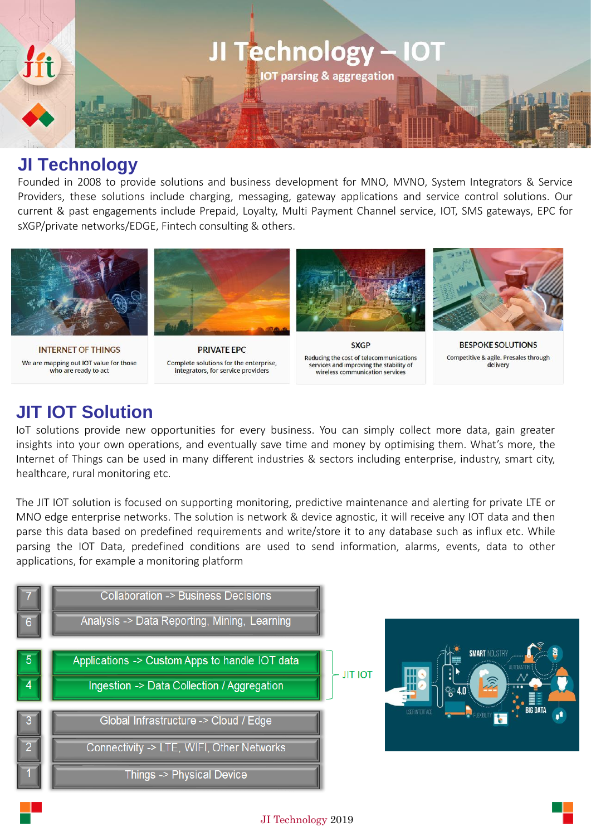

## **JI Technology**

Founded in 2008 to provide solutions and business development for MNO, MVNO, System Integrators & Service Providers, these solutions include charging, messaging, gateway applications and service control solutions. Our current & past engagements include Prepaid, Loyalty, Multi Payment Channel service, IOT, SMS gateways, EPC for sXGP/private networks/EDGE, Fintech consulting & others.



**INTERNET OF THINGS** We are mapping out IOT value for those who are ready to act



**PRIVATE FPC** Complete solutions for the enterprise, integrators, for service providers



**SXGP** Reducing the cost of telecommunications services and improving the stability of wireless communication services



**BESPOKE SOLUTIONS** Competitive & agile. Presales through delivery

## **JIT IOT Solution**

IoT solutions provide new opportunities for every business. You can simply collect more data, gain greater insights into your own operations, and eventually save time and money by optimising them. What's more, the Internet of Things can be used in many different industries & sectors including enterprise, industry, smart city, healthcare, rural monitoring etc.

The JIT IOT solution is focused on supporting monitoring, predictive maintenance and alerting for private LTE or MNO edge enterprise networks. The solution is network & device agnostic, it will receive any IOT data and then parse this data based on predefined requirements and write/store it to any database such as influx etc. While parsing the IOT Data, predefined conditions are used to send information, alarms, events, data to other applications, for example a monitoring platform